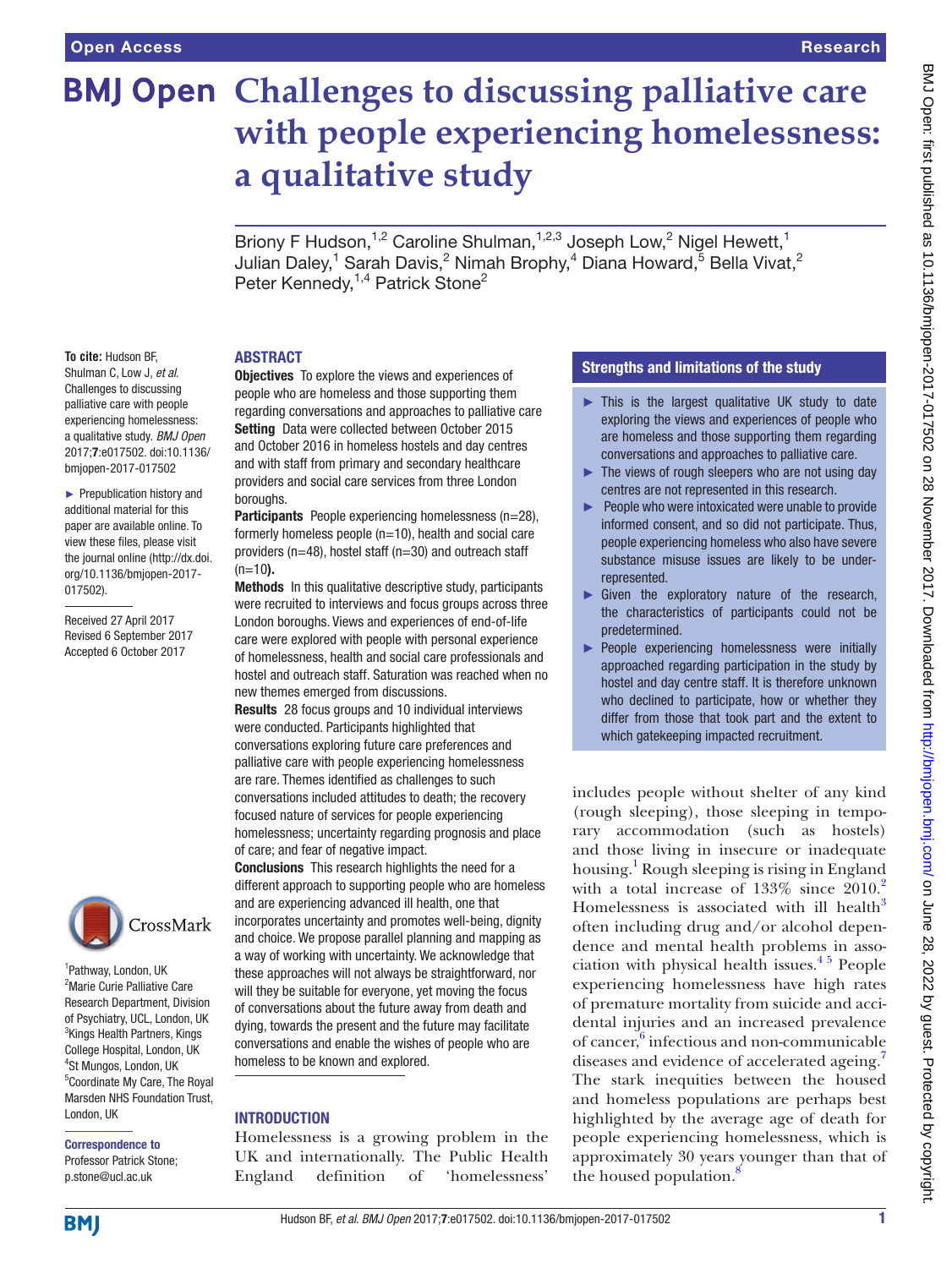**To cite:** Hudson BF, Shulman C, Low J, *et al*. Challenges to discussing palliative care with people experiencing homelessness: a qualitative study. *BMJ Open* 2017;7:e017502. doi:10.1136/ bmjopen-2017-017502 ► Prepublication history and additional material for this paper are available online. To view these files, please visit the journal online [\(http://dx.doi.](http://dx.doi.org/10.1136/bmjopen-2017-017502) [org/10.1136/bmjopen-2017-](http://dx.doi.org/10.1136/bmjopen-2017-017502)

[017502\)](http://dx.doi.org/10.1136/bmjopen-2017-017502).

Received 27 April 2017 Revised 6 September 2017 Accepted 6 October 2017

1 Pathway, London, UK <sup>2</sup>Marie Curie Palliative Care Research Department, Division of Psychiatry, UCL, London, UK <sup>3</sup>Kings Health Partners, Kings College Hospital, London, UK 4 St Mungos, London, UK 5 Coordinate My Care, The Royal Marsden NHS Foundation Trust,

CrossMark

# **BMJ Open Challenges to discussing palliative care with people experiencing homelessness: a qualitative study**

Briony F Hudson,<sup>1,2</sup> Caroline Shulman,<sup>1,2,3</sup> Joseph Low,<sup>2</sup> Nigel Hewett,<sup>1</sup> Julian Daley,<sup>1</sup> Sarah Davis,<sup>2</sup> Nimah Brophy,<sup>4</sup> Diana Howard,<sup>5</sup> Bella Vivat,<sup>2</sup> Peter Kennedy, <sup>1,4</sup> Patrick Stone<sup>2</sup>

#### **ABSTRACT**

**Objectives** To explore the views and experiences of people who are homeless and those supporting them regarding conversations and approaches to palliative care Setting Data were collected between October 2015 and October 2016 in homeless hostels and day centres and with staff from primary and secondary healthcare providers and social care services from three London boroughs.

Participants People experiencing homelessness (n=28), formerly homeless people (n=10), health and social care providers (n=48), hostel staff (n=30) and outreach staff  $(n=10)$ .

Methods In this qualitative descriptive study, participants were recruited to interviews and focus groups across three London boroughs. Views and experiences of end-of-life care were explored with people with personal experience of homelessness, health and social care professionals and hostel and outreach staff. Saturation was reached when no new themes emerged from discussions.

Results 28 focus groups and 10 individual interviews were conducted. Participants highlighted that conversations exploring future care preferences and palliative care with people experiencing homelessness are rare. Themes identified as challenges to such conversations included attitudes to death; the recovery focused nature of services for people experiencing homelessness; uncertainty regarding prognosis and place of care; and fear of negative impact.

Conclusions This research highlights the need for a different approach to supporting people who are homeless and are experiencing advanced ill health, one that incorporates uncertainty and promotes well-being, dignity and choice. We propose parallel planning and mapping as a way of working with uncertainty. We acknowledge that these approaches will not always be straightforward, nor will they be suitable for everyone, yet moving the focus of conversations about the future away from death and dying, towards the present and the future may facilitate conversations and enable the wishes of people who are homeless to be known and explored.

#### **INTRODUCTION**

Homelessness is a growing problem in the UK and internationally. The Public Health England definition of 'homelessness'

#### Strengths and limitations of the study

- ► This is the largest qualitative UK study to date exploring the views and experiences of people who are homeless and those supporting them regarding conversations and approaches to palliative care.
- $\blacktriangleright$  The views of rough sleepers who are not using day centres are not represented in this research.
- ► People who were intoxicated were unable to provide informed consent, and so did not participate. Thus, people experiencing homeless who also have severe substance misuse issues are likely to be underrepresented.
- ► Given the exploratory nature of the research, the characteristics of participants could not be predetermined.
- ► People experiencing homelessness were initially approached regarding participation in the study by hostel and day centre staff. It is therefore unknown who declined to participate, how or whether they differ from those that took part and the extent to which gatekeeping impacted recruitment.

includes people without shelter of any kind (rough sleeping), those sleeping in temporary accommodation (such as hostels) and those living in insecure or inadequate housing.[1](#page-10-0) Rough sleeping is rising in England with a total increase of  $133\%$  since  $2010.<sup>2</sup>$  $2010.<sup>2</sup>$ Homelessness is associated with ill health<sup>3</sup> often including drug and/or alcohol dependence and mental health problems in association with physical health issues. $45$  People experiencing homelessness have high rates of premature mortality from suicide and accidental injuries and an increased prevalence of cancer,<sup>6</sup> infectious and non-communicable diseases and evidence of accelerated ageing.<sup>7</sup> The stark inequities between the housed and homeless populations are perhaps best highlighted by the average age of death for people experiencing homelessness, which is approximately 30 years younger than that of the housed population.<sup>[8](#page-11-5)</sup>

**BMI** 

London, UK

Correspondence to Professor Patrick Stone; p.stone@ucl.ac.uk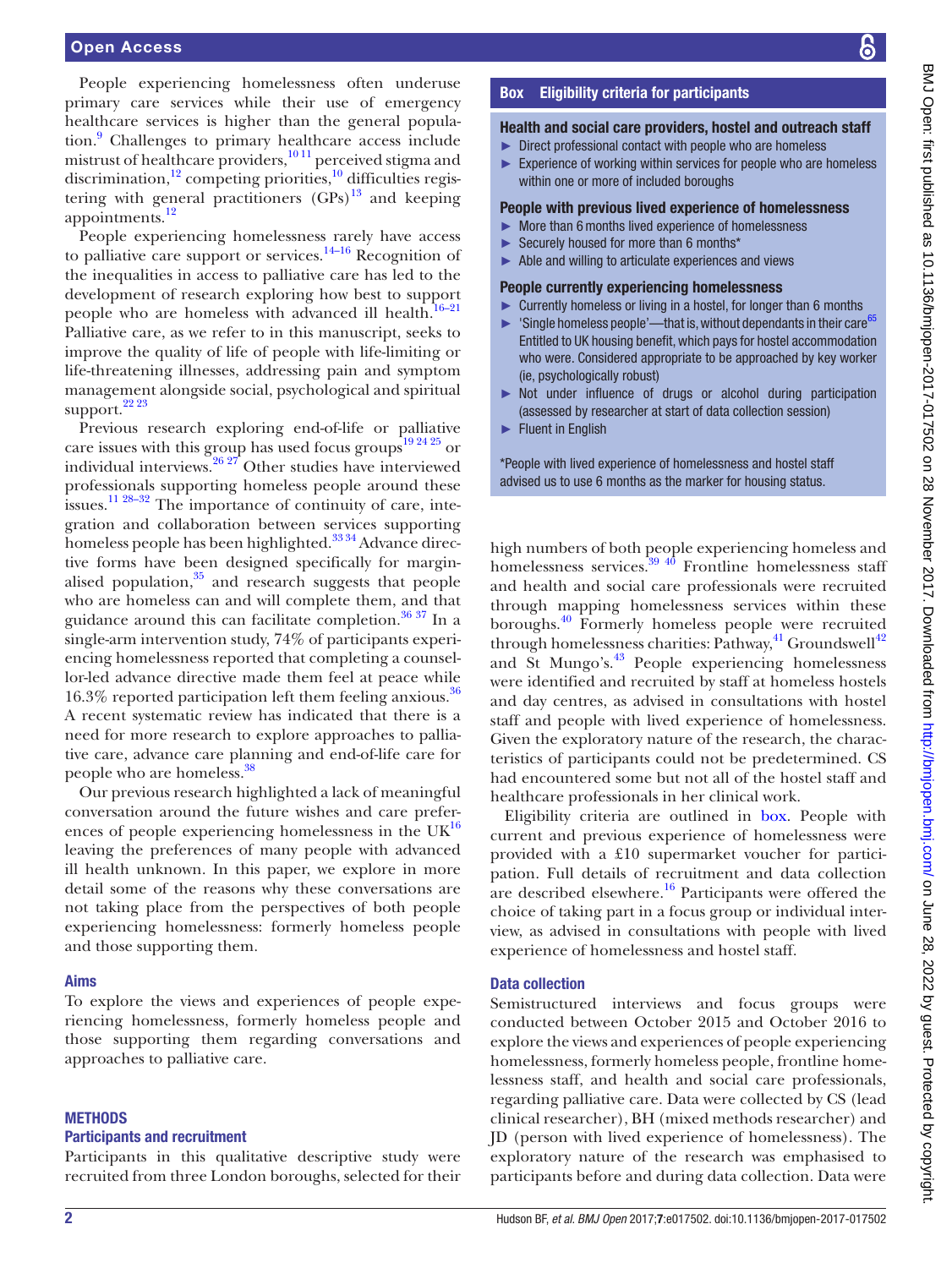People experiencing homelessness often underuse primary care services while their use of emergency healthcare services is higher than the general popula-tion.<sup>[9](#page-11-6)</sup> Challenges to primary healthcare access include mistrust of healthcare providers,<sup>1011</sup> perceived stigma and discrimination, $^{12}$  competing priorities, $^{10}$  difficulties registering with general practitioners  $(GPs)^{13}$  $(GPs)^{13}$  $(GPs)^{13}$  and keeping appointments.<sup>[12](#page-11-8)</sup>

People experiencing homelessness rarely have access to palliative care support or services.<sup>14–16</sup> Recognition of the inequalities in access to palliative care has led to the development of research exploring how best to support people who are homeless with advanced ill health.<sup>16-21</sup> Palliative care, as we refer to in this manuscript, seeks to improve the quality of life of people with life-limiting or life-threatening illnesses, addressing pain and symptom management alongside social, psychological and spiritual support. $22\frac{23}{23}$ 

Previous research exploring end-of-life or palliative care issues with this group has used focus groups<sup>19 24 25</sup> or individual interviews. $26\frac{27}{27}$  Other studies have interviewed professionals supporting homeless people around these issues[.11 28–32](#page-11-15) The importance of continuity of care, integration and collaboration between services supporting homeless people has been highlighted. $3334$  Advance directive forms have been designed specifically for marginalised population, $35$  and research suggests that people who are homeless can and will complete them, and that guidance around this can facilitate completion.<sup>36</sup> 37 In a single-arm intervention study, 74% of participants experiencing homelessness reported that completing a counsellor-led advance directive made them feel at peace while  $16.3\%$  reported participation left them feeling anxious.<sup>[36](#page-11-18)</sup> A recent systematic review has indicated that there is a need for more research to explore approaches to palliative care, advance care planning and end-of-life care for people who are homeless.<sup>[38](#page-11-19)</sup>

Our previous research highlighted a lack of meaningful conversation around the future wishes and care preferences of people experiencing homelessness in the  $UK^{16}$  $UK^{16}$  $UK^{16}$ leaving the preferences of many people with advanced ill health unknown. In this paper, we explore in more detail some of the reasons why these conversations are not taking place from the perspectives of both people experiencing homelessness: formerly homeless people and those supporting them.

#### Aims

To explore the views and experiences of people experiencing homelessness, formerly homeless people and those supporting them regarding conversations and approaches to palliative care.

#### **METHODS**

#### Participants and recruitment

Participants in this qualitative descriptive study were recruited from three London boroughs, selected for their

#### Box Eligibility criteria for participants

#### <span id="page-1-0"></span>Health and social care providers, hostel and outreach staff

► Direct professional contact with people who are homeless ► Experience of working within services for people who are homeless within one or more of included boroughs

#### People with previous lived experience of homelessness

- More than 6 months lived experience of homelessness
- ► Securely housed for more than 6 months\*
- ► Able and willing to articulate experiences and views

#### People currently experiencing homelessness

- ► Currently homeless or living in a hostel, for longer than 6 months
- $\blacktriangleright$  'Single homeless people'—that is, without dependants in their care<sup>[65](#page-12-0)</sup> Entitled to UK housing benefit, which pays for hostel accommodation who were. Considered appropriate to be approached by key worker (ie, psychologically robust)
- ► Not under influence of drugs or alcohol during participation (assessed by researcher at start of data collection session)
- ► Fluent in English

\*People with lived experience of homelessness and hostel staff advised us to use 6 months as the marker for housing status.

high numbers of both people experiencing homeless and of the state of some perfect experiencing noncless and<br>homelessness services.<sup>39</sup> <sup>40</sup> Frontline homelessness staff and health and social care professionals were recruited through mapping homelessness services within these boroughs.[40](#page-11-21) Formerly homeless people were recruited through homelessness charities: Pathway, $^{41}$  Groundswell<sup>[42](#page-11-23)</sup> and St Mungo's.<sup>43</sup> People experiencing homelessness were identified and recruited by staff at homeless hostels and day centres, as advised in consultations with hostel staff and people with lived experience of homelessness. Given the exploratory nature of the research, the characteristics of participants could not be predetermined. CS had encountered some but not all of the hostel staff and healthcare professionals in her clinical work.

Eligibility criteria are outlined in [box](#page-1-0). People with current and previous experience of homelessness were provided with a £10 supermarket voucher for participation. Full details of recruitment and data collection are described elsewhere.<sup>[16](#page-11-11)</sup> Participants were offered the choice of taking part in a focus group or individual interview, as advised in consultations with people with lived experience of homelessness and hostel staff.

#### Data collection

Semistructured interviews and focus groups were conducted between October 2015 and October 2016 to explore the views and experiences of people experiencing homelessness, formerly homeless people, frontline homelessness staff, and health and social care professionals, regarding palliative care. Data were collected by CS (lead clinical researcher), BH (mixed methods researcher) and JD (person with lived experience of homelessness). The exploratory nature of the research was emphasised to participants before and during data collection. Data were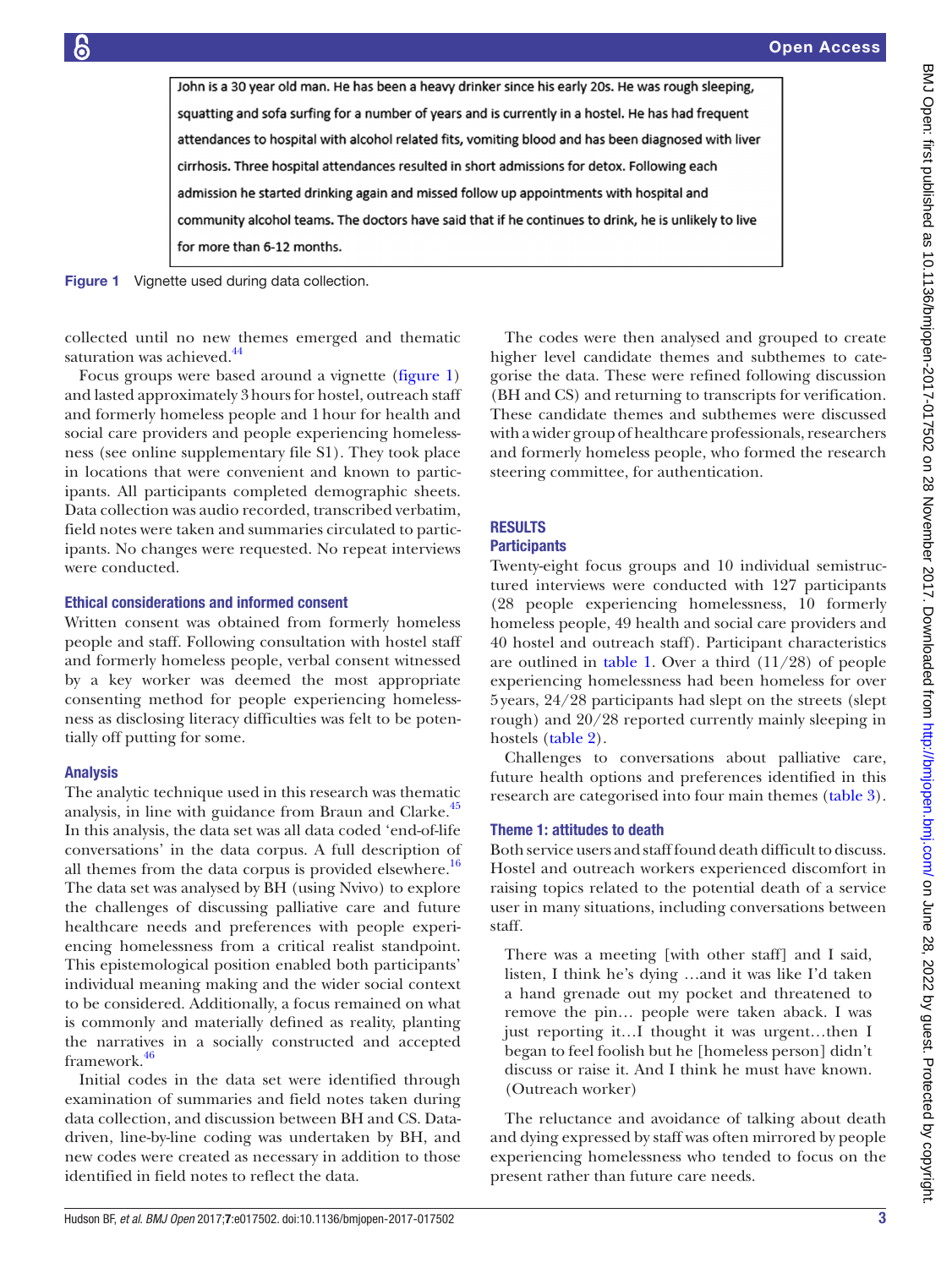<span id="page-2-0"></span>John is a 30 year old man. He has been a heavy drinker since his early 20s. He was rough sleeping, squatting and sofa surfing for a number of years and is currently in a hostel. He has had frequent attendances to hospital with alcohol related fits, vomiting blood and has been diagnosed with liver cirrhosis. Three hospital attendances resulted in short admissions for detox. Following each admission he started drinking again and missed follow up appointments with hospital and community alcohol teams. The doctors have said that if he continues to drink, he is unlikely to live for more than 6-12 months.

Figure 1 Vignette used during data collection.

collected until no new themes emerged and thematic saturation was achieved.<sup>44</sup>

Focus groups were based around a vignette [\(figure](#page-2-0) 1) and lasted approximately 3hours for hostel, outreach staff and formerly homeless people and 1hour for health and social care providers and people experiencing homelessness (see online [supplementary file S1](https://dx.doi.org/10.1136/bmjopen-2017-017502)). They took place in locations that were convenient and known to participants. All participants completed demographic sheets. Data collection was audio recorded, transcribed verbatim, field notes were taken and summaries circulated to participants. No changes were requested. No repeat interviews were conducted.

#### Ethical considerations and informed consent

Written consent was obtained from formerly homeless people and staff. Following consultation with hostel staff and formerly homeless people, verbal consent witnessed by a key worker was deemed the most appropriate consenting method for people experiencing homelessness as disclosing literacy difficulties was felt to be potentially off putting for some.

#### Analysis

The analytic technique used in this research was thematic analysis, in line with guidance from Braun and Clarke.<sup>[45](#page-11-26)</sup> In this analysis, the data set was all data coded 'end-of-life conversations' in the data corpus. A full description of all themes from the data corpus is provided elsewhere.<sup>16</sup> The data set was analysed by BH (using Nvivo) to explore the challenges of discussing palliative care and future healthcare needs and preferences with people experiencing homelessness from a critical realist standpoint. This epistemological position enabled both participants' individual meaning making and the wider social context to be considered. Additionally, a focus remained on what is commonly and materially defined as reality, planting the narratives in a socially constructed and accepted framework.[46](#page-11-27)

Initial codes in the data set were identified through examination of summaries and field notes taken during data collection, and discussion between BH and CS. Datadriven, line-by-line coding was undertaken by BH, and new codes were created as necessary in addition to those identified in field notes to reflect the data.

The codes were then analysed and grouped to create higher level candidate themes and subthemes to categorise the data. These were refined following discussion (BH and CS) and returning to transcripts for verification. These candidate themes and subthemes were discussed with a wider group of healthcare professionals, researchers and formerly homeless people, who formed the research steering committee, for authentication.

### **RESULTS**

#### **Participants**

Twenty-eight focus groups and 10 individual semistructured interviews were conducted with 127 participants (28 people experiencing homelessness, 10 formerly homeless people, 49 health and social care providers and 40 hostel and outreach staff). Participant characteristics are outlined in [table](#page-3-0) 1. Over a third  $(11/28)$  of people experiencing homelessness had been homeless for over 5years, 24/28 participants had slept on the streets (slept rough) and 20/28 reported currently mainly sleeping in hostels ([table](#page-5-0) 2).

Challenges to conversations about palliative care, future health options and preferences identified in this research are categorised into four main themes ([table](#page-5-1) 3).

#### Theme 1: attitudes to death

Both service users and staff found death difficult to discuss. Hostel and outreach workers experienced discomfort in raising topics related to the potential death of a service user in many situations, including conversations between staff.

There was a meeting [with other staff] and I said, listen, I think he's dying …and it was like I'd taken a hand grenade out my pocket and threatened to remove the pin… people were taken aback. I was just reporting it…I thought it was urgent…then I began to feel foolish but he [homeless person] didn't discuss or raise it. And I think he must have known. (Outreach worker)

The reluctance and avoidance of talking about death and dying expressed by staff was often mirrored by people experiencing homelessness who tended to focus on the present rather than future care needs.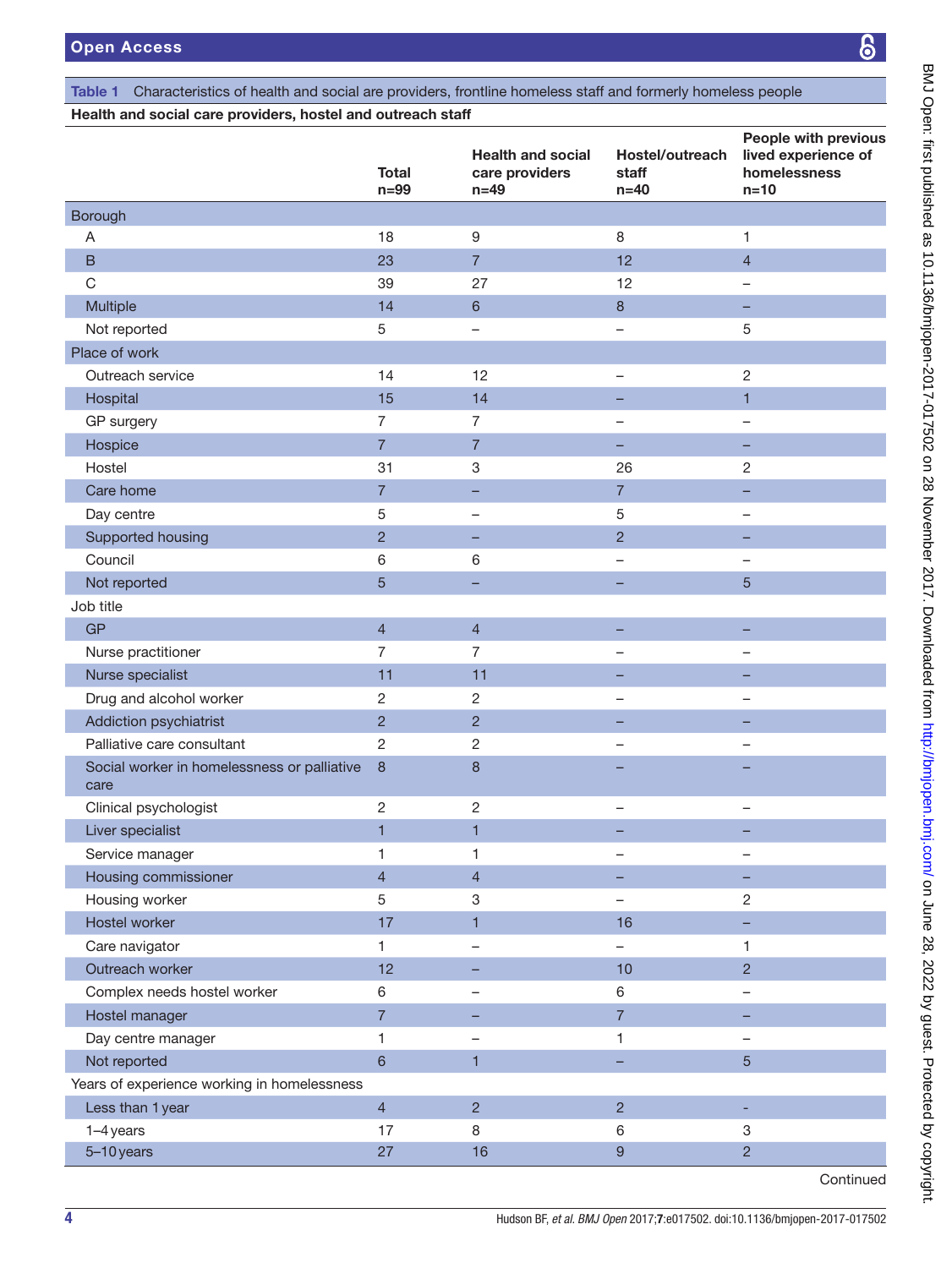BMJ Open: first published as 10.1136/bmjopen-2017-017502 on 28 November 2017. Downloaded from http://bmjopen.bmj.com/ on June 28, 2022 by guest. Protected by copyright. BMJ Open: first published as 10.1136/bmjopen-2017-017502 on 28 November 2017. Downloaded from <http://bmjopen.bmj.com/> on June 28, 2022 by guest. Protected by copyright.

<span id="page-3-0"></span>Table 1 Characteristics of health and social are providers, frontline homeless staff and formerly homeless people

### Health and social care providers, hostel and outreach staff

|                                                     | <b>Total</b><br>$n=99$ | <b>Health and social</b><br>care providers<br>$n=49$ | Hostel/outreach<br>staff<br>$n=40$ | People with previous<br>lived experience of<br>homelessness<br>$n=10$ |
|-----------------------------------------------------|------------------------|------------------------------------------------------|------------------------------------|-----------------------------------------------------------------------|
| Borough                                             |                        |                                                      |                                    |                                                                       |
| A                                                   | 18                     | $9\,$                                                | $\,8\,$                            | $\mathbf{1}$                                                          |
| $\sf B$                                             | 23                     | $\overline{7}$                                       | 12                                 | $\overline{4}$                                                        |
| $\mathsf C$                                         | 39                     | 27                                                   | 12                                 |                                                                       |
| Multiple                                            | 14                     | $6\phantom{1}$                                       | 8                                  |                                                                       |
| Not reported                                        | $\overline{5}$         | $\overline{\phantom{0}}$                             | -                                  | 5                                                                     |
| Place of work                                       |                        |                                                      |                                    |                                                                       |
| Outreach service                                    | 14                     | 12                                                   | -                                  | $\overline{2}$                                                        |
| Hospital                                            | 15                     | 14                                                   |                                    | $\mathbf{1}$                                                          |
| GP surgery                                          | $\overline{7}$         | 7                                                    | $\overline{\phantom{0}}$           |                                                                       |
| Hospice                                             | $\overline{7}$         | $\overline{7}$                                       | -                                  |                                                                       |
| Hostel                                              | 31                     | 3                                                    | 26                                 | $\mathbf{2}$                                                          |
| Care home                                           | $\overline{7}$         |                                                      | $\overline{7}$                     |                                                                       |
| Day centre                                          | 5                      |                                                      | 5                                  |                                                                       |
| Supported housing                                   | $\overline{2}$         |                                                      | $\overline{c}$                     |                                                                       |
| Council                                             | 6                      | 6                                                    |                                    |                                                                       |
| Not reported                                        | 5                      |                                                      |                                    | 5                                                                     |
| Job title                                           |                        |                                                      |                                    |                                                                       |
| <b>GP</b>                                           | $\overline{4}$         | $\overline{4}$                                       | -                                  |                                                                       |
| Nurse practitioner                                  | $\overline{7}$         | 7                                                    | $\overline{\phantom{0}}$           |                                                                       |
| Nurse specialist                                    | 11                     | 11                                                   |                                    |                                                                       |
| Drug and alcohol worker                             | $\overline{2}$         | $\overline{2}$                                       |                                    |                                                                       |
| Addiction psychiatrist                              | $\overline{2}$         | $\overline{c}$                                       |                                    |                                                                       |
| Palliative care consultant                          | $\overline{2}$         | $\overline{c}$                                       |                                    |                                                                       |
| Social worker in homelessness or palliative<br>care | $\boldsymbol{8}$       | 8                                                    |                                    |                                                                       |
| Clinical psychologist                               | $\overline{2}$         | $\overline{c}$                                       | $\qquad \qquad -$                  | $\overline{\phantom{0}}$                                              |
| Liver specialist                                    | $\overline{1}$         | $\overline{1}$                                       |                                    |                                                                       |
| Service manager                                     | 1                      | 1                                                    | -                                  |                                                                       |
| Housing commissioner                                | $\overline{4}$         | $\overline{4}$                                       |                                    |                                                                       |
| Housing worker                                      | $\overline{5}$         | $\ensuremath{\mathsf{3}}$                            |                                    | $\overline{2}$                                                        |
| Hostel worker                                       | 17                     | 1                                                    | 16                                 |                                                                       |
| Care navigator                                      | 1                      | -                                                    | -                                  | 1                                                                     |
| Outreach worker                                     | 12                     | ۰                                                    | 10                                 | $\overline{2}$                                                        |
| Complex needs hostel worker                         | $\,6\,$                | $\overline{\phantom{0}}$                             | 6                                  |                                                                       |
| Hostel manager                                      | $\overline{7}$         |                                                      | $\overline{7}$                     |                                                                       |
| Day centre manager                                  | $\mathbf{1}$           |                                                      | 1                                  |                                                                       |
| Not reported                                        | $6\phantom{a}$         | $\blacksquare$                                       |                                    | $\overline{5}$                                                        |
| Years of experience working in homelessness         |                        |                                                      |                                    |                                                                       |
| Less than 1 year                                    | $\overline{4}$         | $\overline{2}$                                       | $\overline{2}$                     | $\overline{\phantom{a}}$                                              |
| 1-4 years                                           | 17                     | $\,8\,$                                              | 6                                  | $\ensuremath{\mathsf{3}}$                                             |
| 5-10 years                                          | 27                     | 16                                                   | $\boldsymbol{9}$                   | $\overline{c}$                                                        |

**Continued**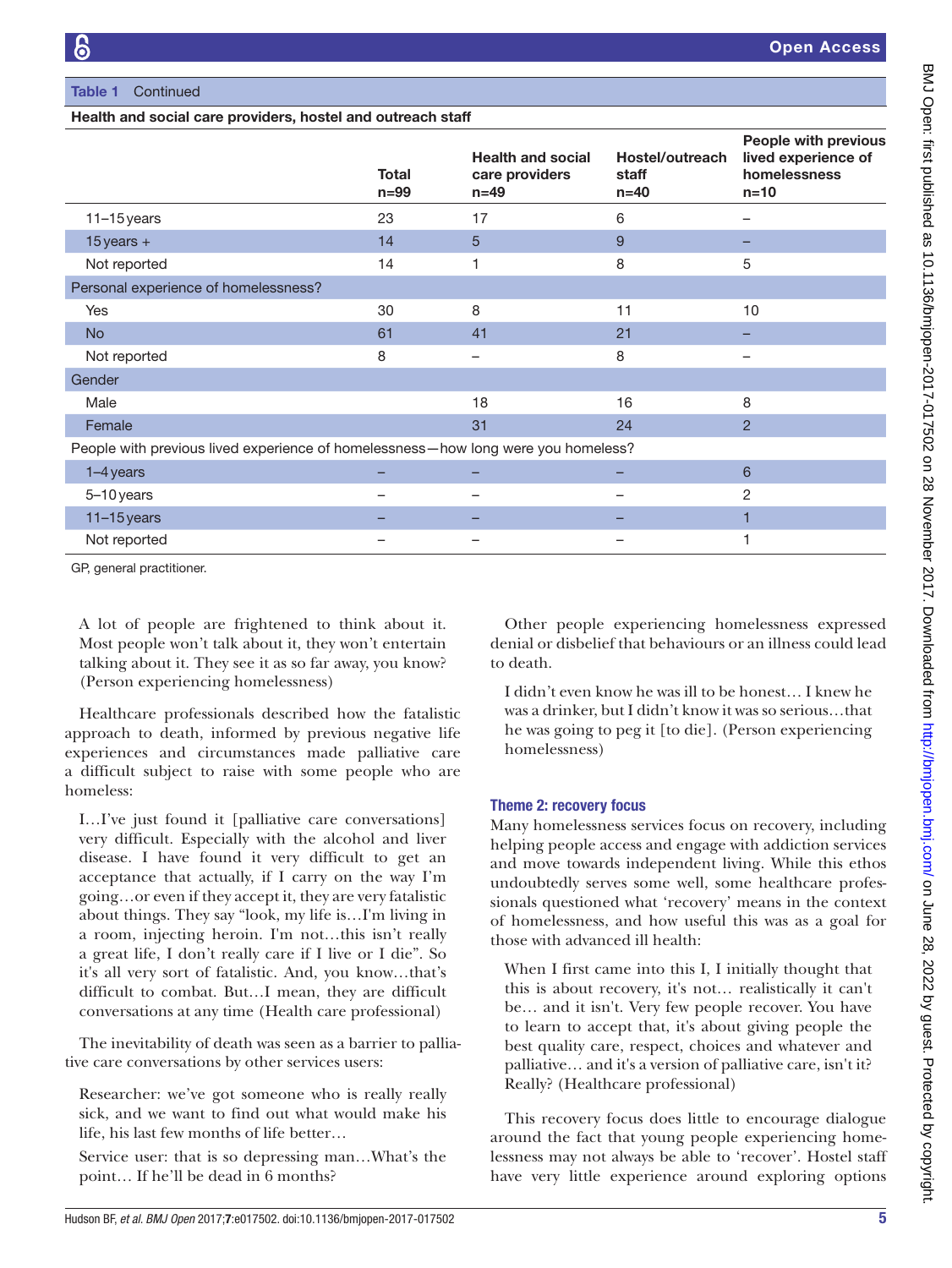#### Table 1 Continued

#### Health and social care providers, hostel and outreach staff

|                                                                                   | <b>Total</b><br>$n=99$ | <b>Health and social</b><br>care providers<br>$n=49$ | Hostel/outreach<br>staff<br>$n=40$ | People with previous<br>lived experience of<br>homelessness<br>$n=10$ |
|-----------------------------------------------------------------------------------|------------------------|------------------------------------------------------|------------------------------------|-----------------------------------------------------------------------|
| $11-15$ years                                                                     | 23                     | 17                                                   | 6                                  |                                                                       |
| $15$ years +                                                                      | 14                     | 5                                                    | 9                                  |                                                                       |
| Not reported                                                                      | 14                     |                                                      | 8                                  | 5                                                                     |
| Personal experience of homelessness?                                              |                        |                                                      |                                    |                                                                       |
| Yes                                                                               | 30                     | 8                                                    | 11                                 | 10                                                                    |
| <b>No</b>                                                                         | 61                     | 41                                                   | 21                                 |                                                                       |
| Not reported                                                                      | 8                      |                                                      | 8                                  |                                                                       |
| Gender                                                                            |                        |                                                      |                                    |                                                                       |
| Male                                                                              |                        | 18                                                   | 16                                 | 8                                                                     |
| Female                                                                            |                        | 31                                                   | 24                                 | $\overline{2}$                                                        |
| People with previous lived experience of homelessness-how long were you homeless? |                        |                                                      |                                    |                                                                       |
| $1-4$ years                                                                       |                        |                                                      |                                    | 6                                                                     |
| 5-10 years                                                                        |                        |                                                      |                                    | 2                                                                     |
| $11-15$ years                                                                     |                        |                                                      |                                    |                                                                       |
| Not reported                                                                      |                        |                                                      |                                    |                                                                       |

GP, general practitioner.

A lot of people are frightened to think about it. Most people won't talk about it, they won't entertain talking about it. They see it as so far away, you know? (Person experiencing homelessness)

Healthcare professionals described how the fatalistic approach to death, informed by previous negative life experiences and circumstances made palliative care a difficult subject to raise with some people who are homeless:

I…I've just found it [palliative care conversations] very difficult. Especially with the alcohol and liver disease. I have found it very difficult to get an acceptance that actually, if I carry on the way I'm going…or even if they accept it, they are very fatalistic about things. They say "look, my life is…I'm living in a room, injecting heroin. I'm not…this isn't really a great life, I don't really care if I live or I die". So it's all very sort of fatalistic. And, you know…that's difficult to combat. But…I mean, they are difficult conversations at any time (Health care professional)

The inevitability of death was seen as a barrier to palliative care conversations by other services users:

Researcher: we've got someone who is really really sick, and we want to find out what would make his life, his last few months of life better…

Service user: that is so depressing man…What's the point… If he'll be dead in 6 months?

Other people experiencing homelessness expressed denial or disbelief that behaviours or an illness could lead to death.

I didn't even know he was ill to be honest… I knew he was a drinker, but I didn't know it was so serious…that he was going to peg it [to die]. (Person experiencing homelessness)

#### Theme 2: recovery focus

Many homelessness services focus on recovery, including helping people access and engage with addiction services and move towards independent living. While this ethos undoubtedly serves some well, some healthcare professionals questioned what 'recovery' means in the context of homelessness, and how useful this was as a goal for those with advanced ill health:

When I first came into this I, I initially thought that this is about recovery, it's not… realistically it can't be… and it isn't. Very few people recover. You have to learn to accept that, it's about giving people the best quality care, respect, choices and whatever and palliative… and it's a version of palliative care, isn't it? Really? (Healthcare professional)

This recovery focus does little to encourage dialogue around the fact that young people experiencing homelessness may not always be able to 'recover'. Hostel staff have very little experience around exploring options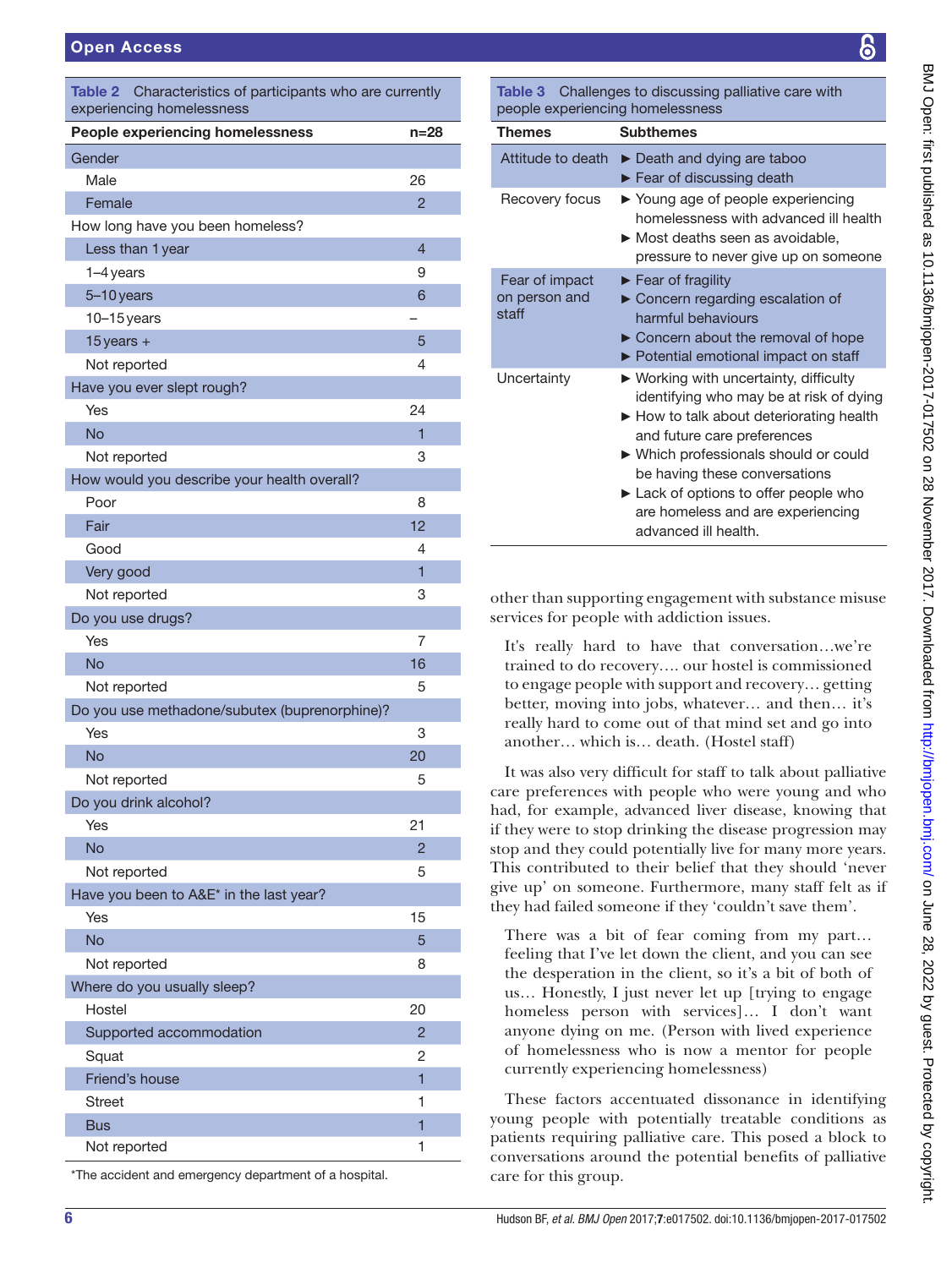<span id="page-5-0"></span>

| <b>People experiencing homelessness</b>       | $n=28$         |
|-----------------------------------------------|----------------|
| Gender                                        |                |
| Male                                          | 26             |
| Female                                        | $\overline{2}$ |
| How long have you been homeless?              |                |
| Less than 1 year                              | $\overline{4}$ |
| 1-4 years                                     | 9              |
| 5-10 years                                    | 6              |
| $10 - 15$ years                               |                |
| $15$ years +                                  | 5              |
| Not reported                                  | 4              |
| Have you ever slept rough?                    |                |
| Yes                                           | 24             |
| <b>No</b>                                     | 1              |
| Not reported                                  | 3              |
| How would you describe your health overall?   |                |
| Poor                                          | 8              |
| Fair                                          | 12             |
| Good                                          | 4              |
| Very good                                     | 1              |
| Not reported                                  | 3              |
| Do you use drugs?                             |                |
| Yes                                           | 7              |
| <b>No</b>                                     | 16             |
| Not reported                                  | 5              |
| Do you use methadone/subutex (buprenorphine)? |                |
| Yes                                           | 3              |
| <b>No</b>                                     | 20             |
| Not reported                                  | 5              |
| Do you drink alcohol?                         |                |
| Yes                                           | 21             |
| <b>No</b>                                     | $\overline{2}$ |
| Not reported                                  | 5              |
| Have you been to A&E* in the last year?       |                |
| Yes                                           | 15             |
| <b>No</b>                                     | 5              |
| Not reported                                  | 8              |
| Where do you usually sleep?                   |                |
| Hostel                                        | 20             |
| Supported accommodation                       | 2              |
| Squat                                         | 2              |
| Friend's house                                | $\overline{1}$ |
| <b>Street</b>                                 | 1              |
| <b>Bus</b>                                    | $\overline{1}$ |
| Not reported                                  | 1              |

\*The accident and emergency department of a hospital.

<span id="page-5-1"></span>Table 3 Challenges to discussing palliative care with people experiencing homelessness

| poopio oxportonong nomolooonooo<br>Themes | <b>Subthemes</b>                                                                                                                                                                                                                                                                                                                                          |
|-------------------------------------------|-----------------------------------------------------------------------------------------------------------------------------------------------------------------------------------------------------------------------------------------------------------------------------------------------------------------------------------------------------------|
| Attitude to death                         | $\triangleright$ Death and dying are taboo<br>$\blacktriangleright$ Fear of discussing death                                                                                                                                                                                                                                                              |
| Recovery focus                            | ▶ Young age of people experiencing<br>homelessness with advanced ill health<br>Most deaths seen as avoidable,<br>pressure to never give up on someone                                                                                                                                                                                                     |
| Fear of impact<br>on person and<br>staff  | $\blacktriangleright$ Fear of fragility<br>$\triangleright$ Concern regarding escalation of<br>harmful behaviours<br>Concern about the removal of hope<br>▶ Potential emotional impact on staff                                                                                                                                                           |
| Uncertainty                               | $\triangleright$ Working with uncertainty, difficulty<br>identifying who may be at risk of dying<br>► How to talk about deteriorating health<br>and future care preferences<br>▶ Which professionals should or could<br>be having these conversations<br>Lack of options to offer people who<br>are homeless and are experiencing<br>advanced ill health. |

other than supporting engagement with substance misuse services for people with addiction issues.

It's really hard to have that conversation…we're trained to do recovery…. our hostel is commissioned to engage people with support and recovery… getting better, moving into jobs, whatever… and then… it's really hard to come out of that mind set and go into another… which is… death. (Hostel staff)

It was also very difficult for staff to talk about palliative care preferences with people who were young and who had, for example, advanced liver disease, knowing that if they were to stop drinking the disease progression may stop and they could potentially live for many more years. This contributed to their belief that they should 'never give up' on someone. Furthermore, many staff felt as if they had failed someone if they 'couldn't save them'.

There was a bit of fear coming from my part… feeling that I've let down the client, and you can see the desperation in the client, so it's a bit of both of us… Honestly, I just never let up [trying to engage homeless person with services]… I don't want anyone dying on me. (Person with lived experience of homelessness who is now a mentor for people currently experiencing homelessness)

These factors accentuated dissonance in identifying young people with potentially treatable conditions as patients requiring palliative care. This posed a block to conversations around the potential benefits of palliative care for this group.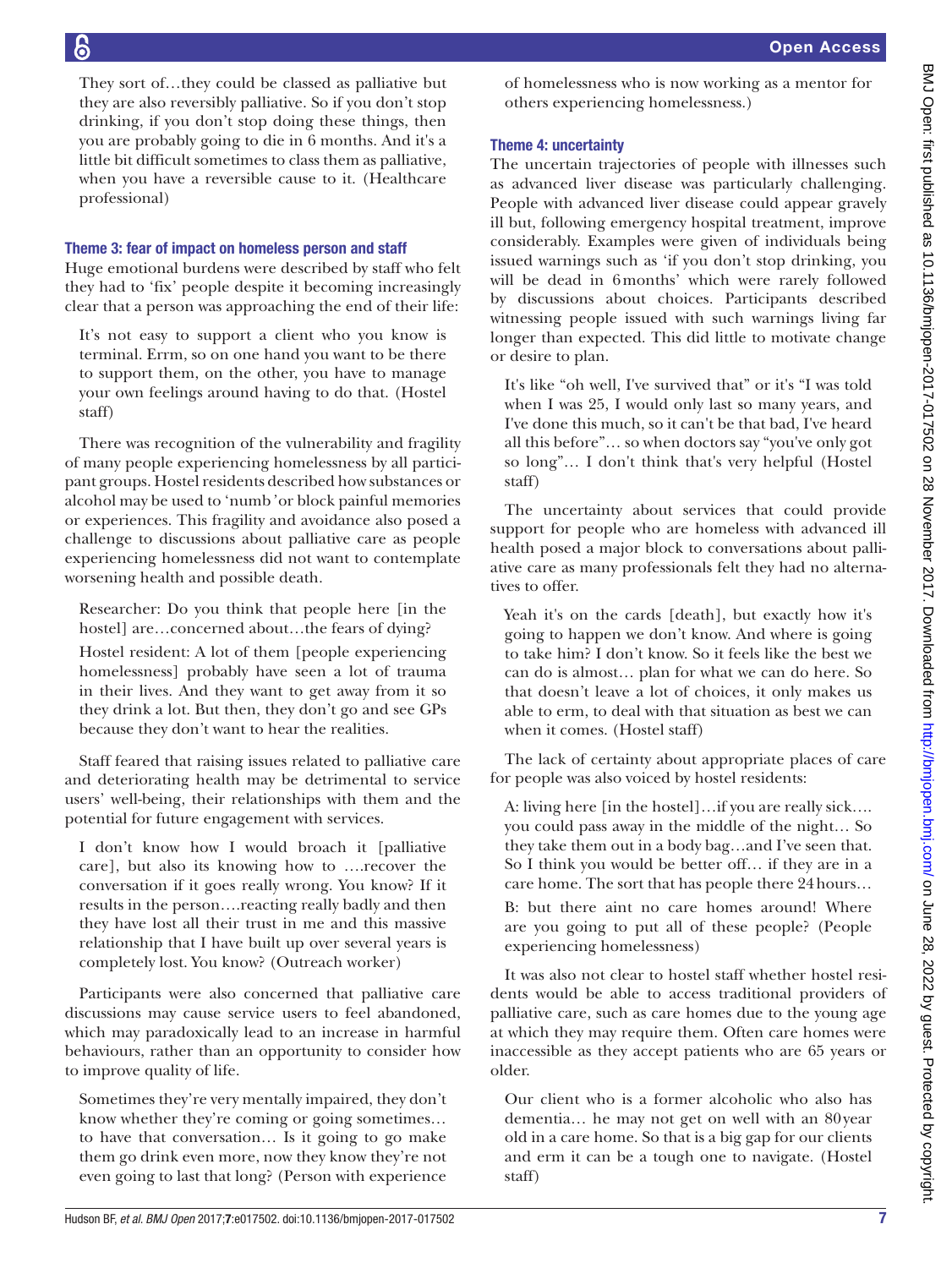Open Access

They sort of…they could be classed as palliative but they are also reversibly palliative. So if you don't stop drinking, if you don't stop doing these things, then you are probably going to die in 6 months. And it's a little bit difficult sometimes to class them as palliative, when you have a reversible cause to it. (Healthcare professional)

#### Theme 3: fear of impact on homeless person and staff

Huge emotional burdens were described by staff who felt they had to 'fix' people despite it becoming increasingly clear that a person was approaching the end of their life:

It's not easy to support a client who you know is terminal. Errm, so on one hand you want to be there to support them, on the other, you have to manage your own feelings around having to do that. (Hostel staff)

There was recognition of the vulnerability and fragility of many people experiencing homelessness by all participant groups. Hostel residents described how substances or alcohol may be used to 'numb*'* or block painful memories or experiences. This fragility and avoidance also posed a challenge to discussions about palliative care as people experiencing homelessness did not want to contemplate worsening health and possible death.

Researcher: Do you think that people here [in the hostel] are...concerned about...the fears of dying?

Hostel resident: A lot of them [people experiencing homelessness] probably have seen a lot of trauma in their lives. And they want to get away from it so they drink a lot. But then, they don't go and see GPs because they don't want to hear the realities.

Staff feared that raising issues related to palliative care and deteriorating health may be detrimental to service users' well-being, their relationships with them and the potential for future engagement with services.

I don't know how I would broach it [palliative care], but also its knowing how to ….recover the conversation if it goes really wrong. You know? If it results in the person….reacting really badly and then they have lost all their trust in me and this massive relationship that I have built up over several years is completely lost. You know? (Outreach worker)

Participants were also concerned that palliative care discussions may cause service users to feel abandoned, which may paradoxically lead to an increase in harmful behaviours, rather than an opportunity to consider how to improve quality of life.

Sometimes they're very mentally impaired, they don't know whether they're coming or going sometimes… to have that conversation… Is it going to go make them go drink even more, now they know they're not even going to last that long? (Person with experience

of homelessness who is now working as a mentor for others experiencing homelessness.)

#### Theme 4: uncertainty

The uncertain trajectories of people with illnesses such as advanced liver disease was particularly challenging. People with advanced liver disease could appear gravely ill but, following emergency hospital treatment, improve considerably. Examples were given of individuals being issued warnings such as 'if you don't stop drinking, you will be dead in 6months' which were rarely followed by discussions about choices. Participants described witnessing people issued with such warnings living far longer than expected. This did little to motivate change or desire to plan.

It's like "oh well, I've survived that" or it's "I was told when I was 25, I would only last so many years, and I've done this much, so it can't be that bad, I've heard all this before"… so when doctors say "you've only got so long"… I don't think that's very helpful (Hostel staff)

The uncertainty about services that could provide support for people who are homeless with advanced ill health posed a major block to conversations about palliative care as many professionals felt they had no alternatives to offer.

Yeah it's on the cards [death], but exactly how it's going to happen we don't know. And where is going to take him? I don't know. So it feels like the best we can do is almost… plan for what we can do here. So that doesn't leave a lot of choices, it only makes us able to erm, to deal with that situation as best we can when it comes. (Hostel staff)

The lack of certainty about appropriate places of care for people was also voiced by hostel residents:

A: living here [in the hostel]…if you are really sick…. you could pass away in the middle of the night… So they take them out in a body bag…and I've seen that. So I think you would be better off… if they are in a care home. The sort that has people there 24hours…

B: but there aint no care homes around! Where are you going to put all of these people? (People experiencing homelessness)

It was also not clear to hostel staff whether hostel residents would be able to access traditional providers of palliative care, such as care homes due to the young age at which they may require them. Often care homes were inaccessible as they accept patients who are 65 years or older.

Our client who is a former alcoholic who also has dementia… he may not get on well with an 80year old in a care home. So that is a big gap for our clients and erm it can be a tough one to navigate. (Hostel staff)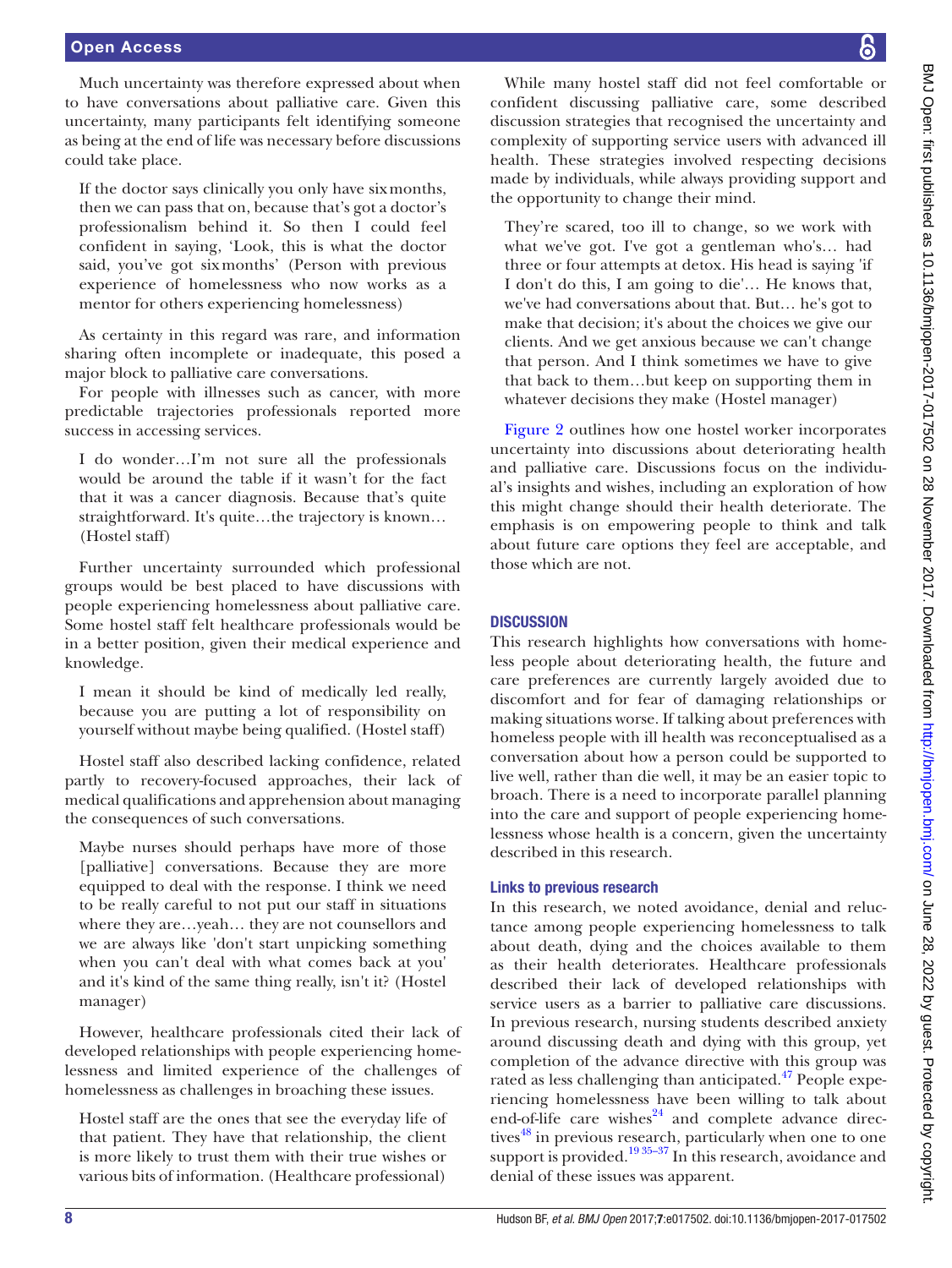Much uncertainty was therefore expressed about when to have conversations about palliative care. Given this uncertainty, many participants felt identifying someone as being at the end of life was necessary before discussions could take place.

If the doctor says clinically you only have sixmonths, then we can pass that on, because that's got a doctor's professionalism behind it. So then I could feel confident in saying, 'Look, this is what the doctor said, you've got sixmonths' (Person with previous experience of homelessness who now works as a mentor for others experiencing homelessness)

As certainty in this regard was rare, and information sharing often incomplete or inadequate, this posed a major block to palliative care conversations.

For people with illnesses such as cancer, with more predictable trajectories professionals reported more success in accessing services.

I do wonder…I'm not sure all the professionals would be around the table if it wasn't for the fact that it was a cancer diagnosis. Because that's quite straightforward. It's quite…the trajectory is known… (Hostel staff)

Further uncertainty surrounded which professional groups would be best placed to have discussions with people experiencing homelessness about palliative care. Some hostel staff felt healthcare professionals would be in a better position, given their medical experience and knowledge.

I mean it should be kind of medically led really, because you are putting a lot of responsibility on yourself without maybe being qualified. (Hostel staff)

Hostel staff also described lacking confidence, related partly to recovery-focused approaches, their lack of medical qualifications and apprehension about managing the consequences of such conversations.

Maybe nurses should perhaps have more of those [palliative] conversations. Because they are more equipped to deal with the response. I think we need to be really careful to not put our staff in situations where they are…yeah… they are not counsellors and we are always like 'don't start unpicking something when you can't deal with what comes back at you' and it's kind of the same thing really, isn't it? (Hostel manager)

However, healthcare professionals cited their lack of developed relationships with people experiencing homelessness and limited experience of the challenges of homelessness as challenges in broaching these issues.

Hostel staff are the ones that see the everyday life of that patient. They have that relationship, the client is more likely to trust them with their true wishes or various bits of information. (Healthcare professional)

While many hostel staff did not feel comfortable or confident discussing palliative care, some described discussion strategies that recognised the uncertainty and complexity of supporting service users with advanced ill health. These strategies involved respecting decisions made by individuals, while always providing support and the opportunity to change their mind.

They're scared, too ill to change, so we work with what we've got. I've got a gentleman who's… had three or four attempts at detox. His head is saying 'if I don't do this, I am going to die'… He knows that, we've had conversations about that. But… he's got to make that decision; it's about the choices we give our clients. And we get anxious because we can't change that person. And I think sometimes we have to give that back to them…but keep on supporting them in whatever decisions they make (Hostel manager)

[Figure](#page-8-0) 2 outlines how one hostel worker incorporates uncertainty into discussions about deteriorating health and palliative care. Discussions focus on the individual's insights and wishes, including an exploration of how this might change should their health deteriorate. The emphasis is on empowering people to think and talk about future care options they feel are acceptable, and those which are not.

#### **DISCUSSION**

This research highlights how conversations with homeless people about deteriorating health, the future and care preferences are currently largely avoided due to discomfort and for fear of damaging relationships or making situations worse. If talking about preferences with homeless people with ill health was reconceptualised as a conversation about how a person could be supported to live well, rather than die well, it may be an easier topic to broach. There is a need to incorporate parallel planning into the care and support of people experiencing homelessness whose health is a concern, given the uncertainty described in this research.

#### Links to previous research

In this research, we noted avoidance, denial and reluctance among people experiencing homelessness to talk about death, dying and the choices available to them as their health deteriorates. Healthcare professionals described their lack of developed relationships with service users as a barrier to palliative care discussions. In previous research, nursing students described anxiety around discussing death and dying with this group, yet completion of the advance directive with this group was rated as less challenging than anticipated. $47$  People experiencing homelessness have been willing to talk about end-of-life care wishes $24$  and complete advance directives<sup>48</sup> in previous research, particularly when one to one support is provided.<sup>19 35-37</sup> In this research, avoidance and denial of these issues was apparent.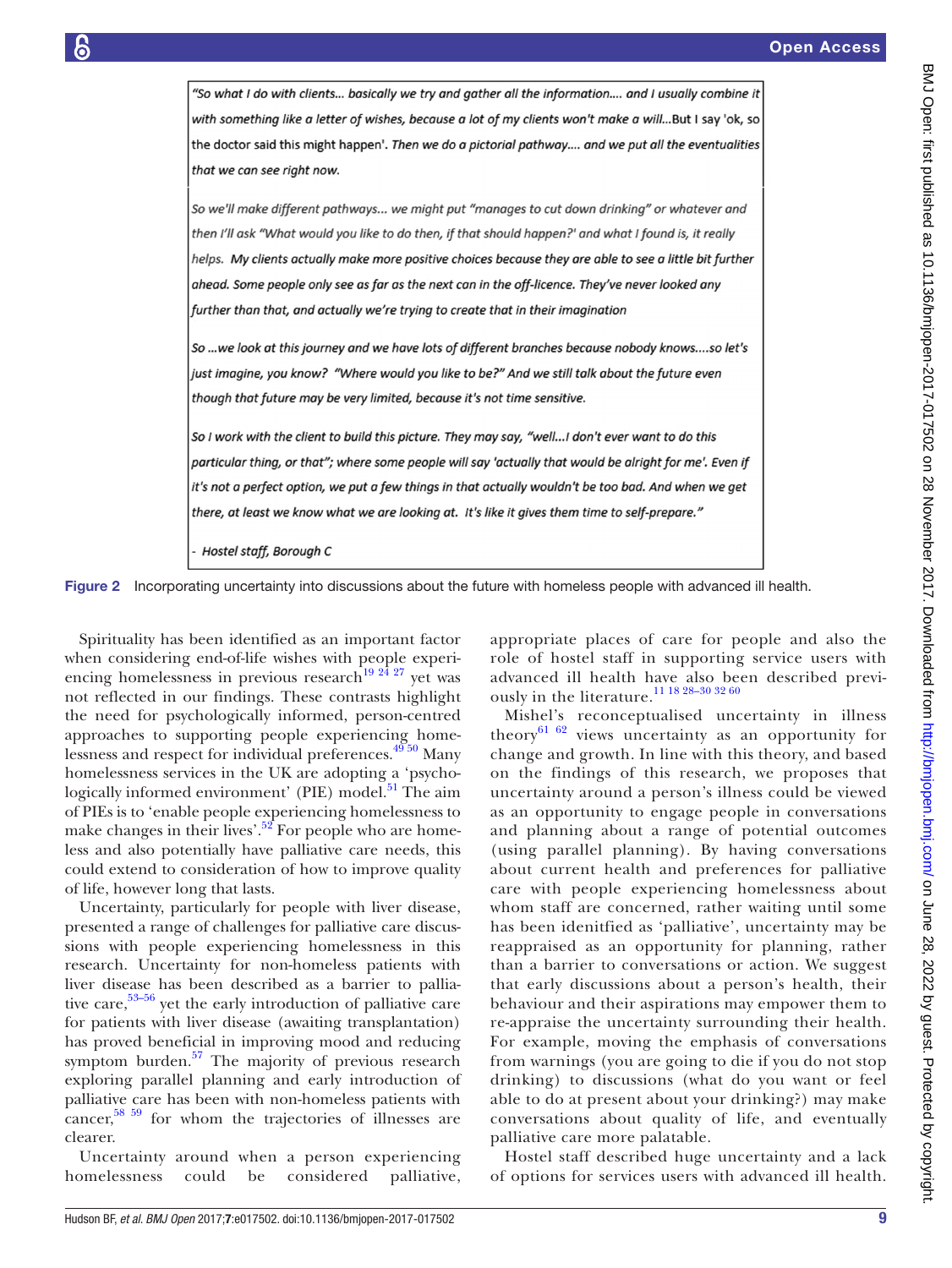

Figure 2 Incorporating uncertainty into discussions about the future with homeless people with advanced ill health.

Spirituality has been identified as an important factor when considering end-of-life wishes with people experi-encing homelessness in previous research<sup>[19 24 27](#page-11-13)</sup> yet was not reflected in our findings. These contrasts highlight the need for psychologically informed, person-centred approaches to supporting people experiencing homelessness and respect for individual preferences.<sup>4950</sup> Many homelessness services in the UK are adopting a 'psychologically informed environment' (PIE) model. $51$  The aim of PIEs is to 'enable people experiencing homelessness to make changes in their lives'.<sup>52</sup> For people who are homeless and also potentially have palliative care needs, this could extend to consideration of how to improve quality of life, however long that lasts.

Uncertainty, particularly for people with liver disease, presented a range of challenges for palliative care discussions with people experiencing homelessness in this research. Uncertainty for non-homeless patients with liver disease has been described as a barrier to palliative care,  $53-56$  yet the early introduction of palliative care for patients with liver disease (awaiting transplantation) has proved beneficial in improving mood and reducing symptom burden. $57$  The majority of previous research exploring parallel planning and early introduction of palliative care has been with non-homeless patients with cancer, $58\,59$  for whom the trajectories of illnesses are clearer.

Uncertainty around when a person experiencing homelessness could be considered palliative, <span id="page-8-0"></span>appropriate places of care for people and also the role of hostel staff in supporting service users with advanced ill health have also been described previously in the literature.<sup>11 18 28-30 32 60</sup>

Mishel's reconceptualised uncertainty in illness theory<sup>[61 62](#page-12-3)</sup> views uncertainty as an opportunity for change and growth. In line with this theory, and based on the findings of this research, we proposes that uncertainty around a person's illness could be viewed as an opportunity to engage people in conversations and planning about a range of potential outcomes (using parallel planning). By having conversations about current health and preferences for palliative care with people experiencing homelessness about whom staff are concerned, rather waiting until some has been idenitfied as 'palliative', uncertainty may be reappraised as an opportunity for planning, rather than a barrier to conversations or action. We suggest that early discussions about a person's health, their behaviour and their aspirations may empower them to re-appraise the uncertainty surrounding their health. For example, moving the emphasis of conversations from warnings (you are going to die if you do not stop drinking) to discussions (what do you want or feel able to do at present about your drinking?) may make conversations about quality of life, and eventually palliative care more palatable.

Hostel staff described huge uncertainty and a lack of options for services users with advanced ill health.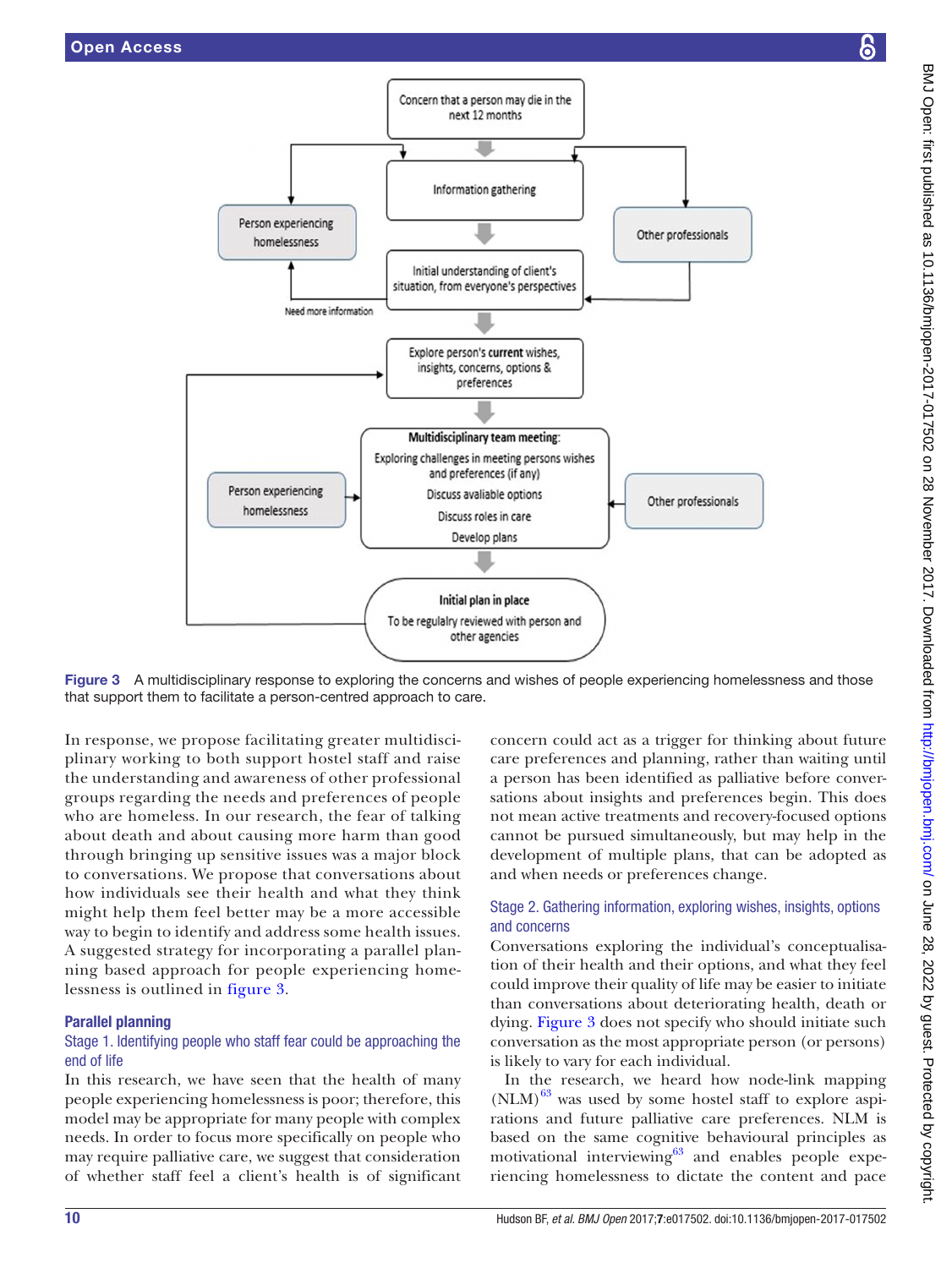

Figure 3 A multidisciplinary response to exploring the concerns and wishes of people experiencing homelessness and those that support them to facilitate a person-centred approach to care.

In response, we propose facilitating greater multidisciplinary working to both support hostel staff and raise the understanding and awareness of other professional groups regarding the needs and preferences of people who are homeless. In our research, the fear of talking about death and about causing more harm than good through bringing up sensitive issues was a major block to conversations. We propose that conversations about how individuals see their health and what they think might help them feel better may be a more accessible way to begin to identify and address some health issues. A suggested strategy for incorporating a parallel planning based approach for people experiencing homelessness is outlined in [figure](#page-9-0) 3.

#### Parallel planning

#### Stage 1. Identifying people who staff fear could be approaching the end of life

In this research, we have seen that the health of many people experiencing homelessness is poor; therefore, this model may be appropriate for many people with complex needs. In order to focus more specifically on people who may require palliative care, we suggest that consideration of whether staff feel a client's health is of significant

<span id="page-9-0"></span>concern could act as a trigger for thinking about future care preferences and planning, rather than waiting until a person has been identified as palliative before conversations about insights and preferences begin. This does not mean active treatments and recovery-focused options cannot be pursued simultaneously, but may help in the development of multiple plans, that can be adopted as and when needs or preferences change.

#### Stage 2. Gathering information, exploring wishes, insights, options and concerns

Conversations exploring the individual's conceptualisation of their health and their options, and what they feel could improve their quality of life may be easier to initiate than conversations about deteriorating health, death or dying. [Figure](#page-9-0) 3 does not specify who should initiate such conversation as the most appropriate person (or persons) is likely to vary for each individual.

In the research, we heard how node-link mapping  $(NLM)^{63}$  $(NLM)^{63}$  $(NLM)^{63}$  was used by some hostel staff to explore aspirations and future palliative care preferences. NLM is based on the same cognitive behavioural principles as motivational interviewing $63$  and enables people experiencing homelessness to dictate the content and pace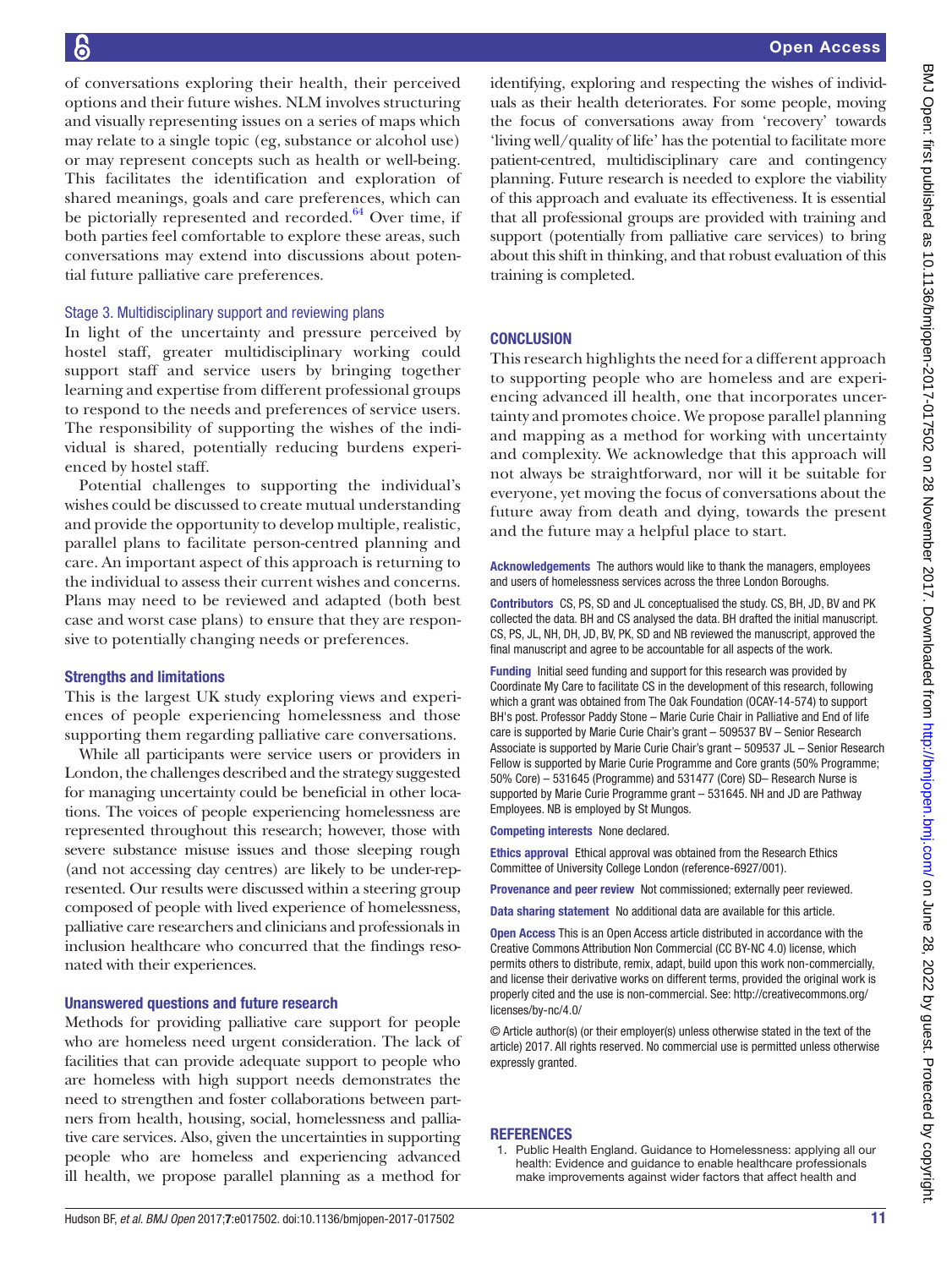of conversations exploring their health, their perceived options and their future wishes. NLM involves structuring and visually representing issues on a series of maps which may relate to a single topic (eg, substance or alcohol use) or may represent concepts such as health or well-being. This facilitates the identification and exploration of shared meanings, goals and care preferences, which can be pictorially represented and recorded. $64$  Over time, if both parties feel comfortable to explore these areas, such conversations may extend into discussions about potential future palliative care preferences.

#### Stage 3. Multidisciplinary support and reviewing plans

In light of the uncertainty and pressure perceived by hostel staff, greater multidisciplinary working could support staff and service users by bringing together learning and expertise from different professional groups to respond to the needs and preferences of service users. The responsibility of supporting the wishes of the individual is shared, potentially reducing burdens experienced by hostel staff.

Potential challenges to supporting the individual's wishes could be discussed to create mutual understanding and provide the opportunity to develop multiple, realistic, parallel plans to facilitate person-centred planning and care. An important aspect of this approach is returning to the individual to assess their current wishes and concerns. Plans may need to be reviewed and adapted (both best case and worst case plans) to ensure that they are responsive to potentially changing needs or preferences.

#### Strengths and limitations

This is the largest UK study exploring views and experiences of people experiencing homelessness and those supporting them regarding palliative care conversations.

While all participants were service users or providers in London, the challenges described and the strategy suggested for managing uncertainty could be beneficial in other locations. The voices of people experiencing homelessness are represented throughout this research; however, those with severe substance misuse issues and those sleeping rough (and not accessing day centres) are likely to be under-represented. Our results were discussed within a steering group composed of people with lived experience of homelessness, palliative care researchers and clinicians and professionals in inclusion healthcare who concurred that the findings resonated with their experiences.

#### Unanswered questions and future research

Methods for providing palliative care support for people who are homeless need urgent consideration. The lack of facilities that can provide adequate support to people who are homeless with high support needs demonstrates the need to strengthen and foster collaborations between partners from health, housing, social, homelessness and palliative care services. Also, given the uncertainties in supporting people who are homeless and experiencing advanced ill health, we propose parallel planning as a method for

identifying, exploring and respecting the wishes of individuals as their health deteriorates. For some people, moving the focus of conversations away from 'recovery' towards 'living well/quality of life' has the potential to facilitate more patient-centred, multidisciplinary care and contingency planning. Future research is needed to explore the viability of this approach and evaluate its effectiveness. It is essential that all professional groups are provided with training and support (potentially from palliative care services) to bring about this shift in thinking, and that robust evaluation of this training is completed.

#### **CONCLUSION**

This research highlights the need for a different approach to supporting people who are homeless and are experiencing advanced ill health, one that incorporates uncertainty and promotes choice. We propose parallel planning and mapping as a method for working with uncertainty and complexity. We acknowledge that this approach will not always be straightforward, nor will it be suitable for everyone, yet moving the focus of conversations about the future away from death and dying, towards the present and the future may a helpful place to start.

Acknowledgements The authors would like to thank the managers, employees and users of homelessness services across the three London Boroughs.

Contributors CS, PS, SD and JL conceptualised the study. CS, BH, JD, BV and PK collected the data. BH and CS analysed the data. BH drafted the initial manuscript. CS, PS, JL, NH, DH, JD, BV, PK, SD and NB reviewed the manuscript, approved the final manuscript and agree to be accountable for all aspects of the work.

Funding Initial seed funding and support for this research was provided by Coordinate My Care to facilitate CS in the development of this research, following which a grant was obtained from The Oak Foundation (OCAY-14-574) to support BH's post. Professor Paddy Stone – Marie Curie Chair in Palliative and End of life care is supported by Marie Curie Chair's grant – 509537 BV – Senior Research Associate is supported by Marie Curie Chair's grant – 509537 JL – Senior Research Fellow is supported by Marie Curie Programme and Core grants (50% Programme; 50% Core) – 531645 (Programme) and 531477 (Core) SD– Research Nurse is supported by Marie Curie Programme grant – 531645. NH and JD are Pathway Employees. NB is employed by St Mungos.

Competing interests None declared.

Ethics approval Ethical approval was obtained from the Research Ethics Committee of University College London (reference-6927/001).

Provenance and peer review Not commissioned; externally peer reviewed.

Data sharing statement No additional data are available for this article.

Open Access This is an Open Access article distributed in accordance with the Creative Commons Attribution Non Commercial (CC BY-NC 4.0) license, which permits others to distribute, remix, adapt, build upon this work non-commercially, and license their derivative works on different terms, provided the original work is properly cited and the use is non-commercial. See: [http://creativecommons.org/](http://creativecommons.org/licenses/by-nc/4.0/) [licenses/by-nc/4.0/](http://creativecommons.org/licenses/by-nc/4.0/)

© Article author(s) (or their employer(s) unless otherwise stated in the text of the article) 2017. All rights reserved. No commercial use is permitted unless otherwise expressly granted.

#### **REFERENCES**

<span id="page-10-0"></span>Public Health England. Guidance to Homelessness: applying all our health: Evidence and guidance to enable healthcare professionals make improvements against wider factors that affect health and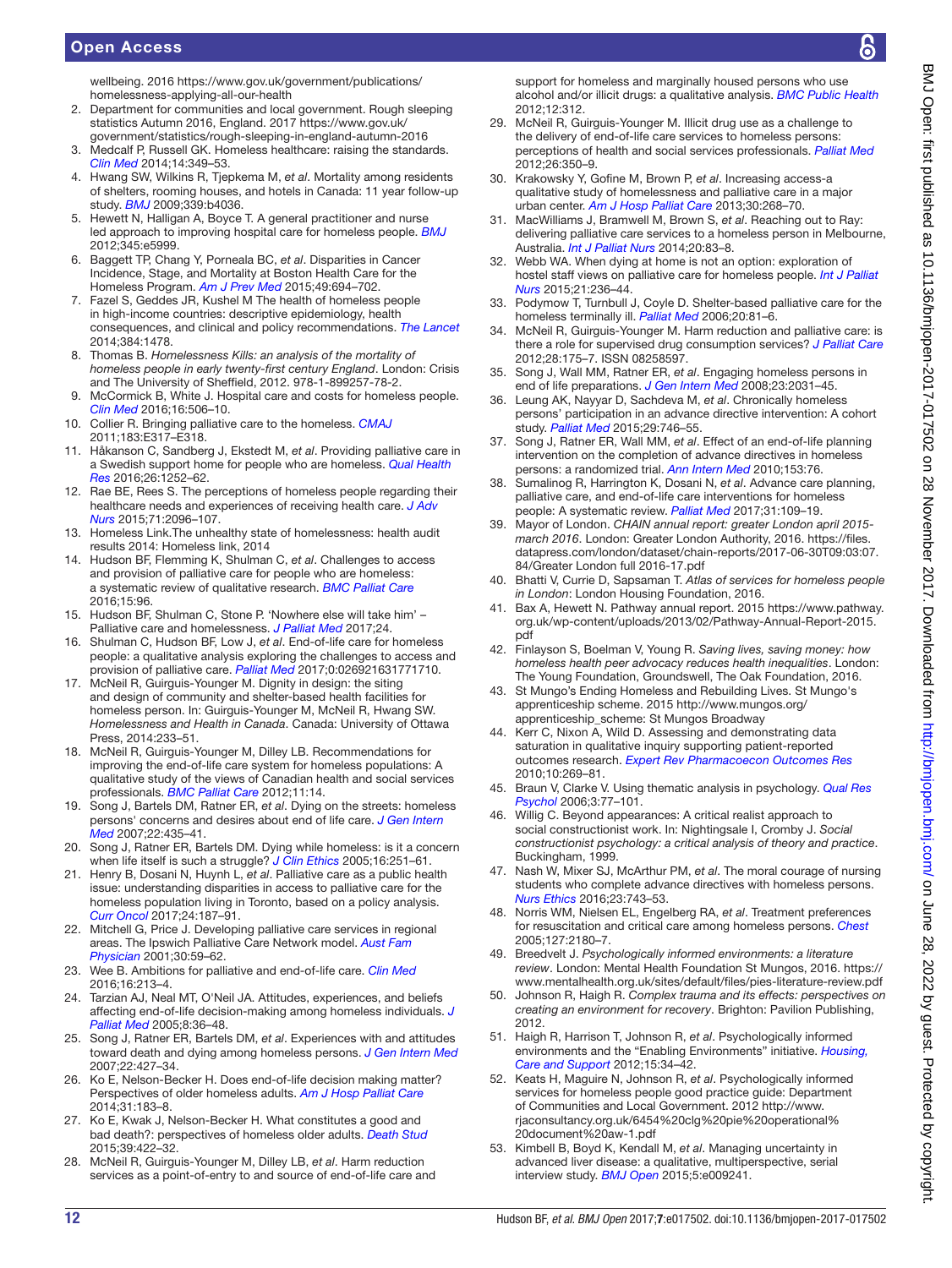#### Open Access

wellbeing. 2016 [https://www.gov.uk/government/publications/](https://www.gov.uk/government/publications/homelessness-applying-all-our-health) [homelessness-applying-all-our-health](https://www.gov.uk/government/publications/homelessness-applying-all-our-health)

- <span id="page-11-0"></span>2. Department for communities and local government. Rough sleeping statistics Autumn 2016, England. 2017 [https://www.gov.uk/](https://www.gov.uk/government/statistics/rough-sleeping-in-england-autumn-2016) [government/statistics/rough-sleeping-in-england-autumn-2016](https://www.gov.uk/government/statistics/rough-sleeping-in-england-autumn-2016)
- <span id="page-11-1"></span>3. Medcalf P, Russell GK. Homeless healthcare: raising the standards. *[Clin Med](http://dx.doi.org/10.7861/clinmedicine.14-4-349)* 2014;14:349–53.
- <span id="page-11-2"></span>4. Hwang SW, Wilkins R, Tjepkema M, *et al*. Mortality among residents of shelters, rooming houses, and hotels in Canada: 11 year follow-up study. *[BMJ](http://dx.doi.org/10.1136/bmj.b4036)* 2009;339:b4036.
- 5. Hewett N, Halligan A, Boyce T. A general practitioner and nurse led approach to improving hospital care for homeless people. *[BMJ](http://dx.doi.org/10.1136/bmj.e5999)* 2012;345:e5999.
- <span id="page-11-3"></span>6. Baggett TP, Chang Y, Porneala BC, *et al*. Disparities in Cancer Incidence, Stage, and Mortality at Boston Health Care for the Homeless Program. *[Am J Prev Med](http://dx.doi.org/10.1016/j.amepre.2015.03.038)* 2015;49:694–702.
- <span id="page-11-4"></span>7. Fazel S, Geddes JR, Kushel M The health of homeless people in high-income countries: descriptive epidemiology, health consequences, and clinical and policy recommendations. *[The Lancet](http://dx.doi.org/10.1016/S0140-6736(14)61132-6)* 2014;384:1478.
- <span id="page-11-5"></span>8. Thomas B. *Homelessness Kills: an analysis of the mortality of homeless people in early twenty-first century England*. London: Crisis and The University of Sheffield, 2012. 978-1-899257-78-2.
- <span id="page-11-6"></span>9. McCormick B, White J. Hospital care and costs for homeless people. *[Clin Med](http://dx.doi.org/10.7861/clinmedicine.16-6-506)* 2016;16:506–10.
- <span id="page-11-7"></span>10. Collier R. Bringing palliative care to the homeless. *[CMAJ](http://dx.doi.org/10.1503/cmaj.109-3756)* 2011;183:E317–E318.
- <span id="page-11-15"></span>11. Håkanson C, Sandberg J, Ekstedt M, *et al*. Providing palliative care in a Swedish support home for people who are homeless. *[Qual Health](http://dx.doi.org/10.1177/1049732315588500)  [Res](http://dx.doi.org/10.1177/1049732315588500)* 2016;26:1252–62.
- <span id="page-11-8"></span>12. Rae BE, Rees S. The perceptions of homeless people regarding their healthcare needs and experiences of receiving health care. *[J Adv](http://dx.doi.org/10.1111/jan.12675)  [Nurs](http://dx.doi.org/10.1111/jan.12675)* 2015;71:2096–107.
- <span id="page-11-9"></span>13. Homeless Link.The unhealthy state of homelessness: health audit results 2014: Homeless link, 2014
- <span id="page-11-10"></span>14. Hudson BF, Flemming K, Shulman C, *et al*. Challenges to access and provision of palliative care for people who are homeless: a systematic review of qualitative research. *[BMC Palliat Care](http://dx.doi.org/10.1186/s12904-016-0168-6)* 2016;15:96.
- 15. Hudson BF, Shulman C, Stone P. 'Nowhere else will take him' Palliative care and homelessness. *J Palliat Med* 2017;24.
- <span id="page-11-11"></span>16. Shulman C, Hudson BF, Low J, *et al*. End-of-life care for homeless people: a qualitative analysis exploring the challenges to access and provision of palliative care. [Palliat Med](http://dx.doi.org/10.1177/0269216317717101) 2017;0:026921631771710.
- 17. McNeil R, Guirguis-Younger M. Dignity in design: the siting and design of community and shelter-based health facilities for homeless person. In: Guirguis-Younger M, McNeil R, Hwang SW. *Homelessness and Health in Canada*. Canada: University of Ottawa Press, 2014:233–51.
- 18. McNeil R, Guirguis-Younger M, Dilley LB. Recommendations for improving the end-of-life care system for homeless populations: A qualitative study of the views of Canadian health and social services professionals. *[BMC Palliat Care](http://dx.doi.org/10.1186/1472-684X-11-14)* 2012;11:14.
- <span id="page-11-13"></span>19. Song J, Bartels DM, Ratner ER, *et al*. Dying on the streets: homeless persons' concerns and desires about end of life care. *[J Gen Intern](http://dx.doi.org/10.1007/s11606-006-0046-7)  [Med](http://dx.doi.org/10.1007/s11606-006-0046-7)* 2007;22:435–41.
- 20. Song J, Ratner ER, Bartels DM. Dying while homeless: is it a concern when life itself is such a struggle? *J Clin Ethics* 2005;16:251–61.
- 21. Henry B, Dosani N, Huynh L, *et al*. Palliative care as a public health issue: understanding disparities in access to palliative care for the homeless population living in Toronto, based on a policy analysis. *[Curr Oncol](http://dx.doi.org/10.3747/co.24.3129)* 2017;24:187–91.
- <span id="page-11-12"></span>22. Mitchell G, Price J. Developing palliative care services in regional areas. The Ipswich Palliative Care Network model. *Aust Fam Physician* 2001;30:59–62.
- 23. Wee B. Ambitions for palliative and end-of-life care. *[Clin Med](http://dx.doi.org/10.7861/clinmedicine.16-3-213)* 2016;16:213–4.
- <span id="page-11-29"></span>24. Tarzian AJ, Neal MT, O'Neil JA. Attitudes, experiences, and beliefs affecting end-of-life decision-making among homeless individuals. *[J](http://dx.doi.org/10.1089/jpm.2005.8.36)  [Palliat Med](http://dx.doi.org/10.1089/jpm.2005.8.36)* 2005;8:36–48.
- 25. Song J, Ratner ER, Bartels DM, *et al*. Experiences with and attitudes toward death and dying among homeless persons. *[J Gen Intern Med](http://dx.doi.org/10.1007/s11606-006-0045-8)* 2007;22:427–34.
- <span id="page-11-14"></span>26. Ko E, Nelson-Becker H. Does end-of-life decision making matter? Perspectives of older homeless adults. *[Am J Hosp Palliat Care](http://dx.doi.org/10.1177/1049909113482176)* 2014;31:183–8.
- 27. Ko E, Kwak J, Nelson-Becker H. What constitutes a good and bad death?: perspectives of homeless older adults. *[Death Stud](http://dx.doi.org/10.1080/07481187.2014.958629)* 2015;39:422–32.
- 28. McNeil R, Guirguis-Younger M, Dilley LB, *et al*. Harm reduction services as a point-of-entry to and source of end-of-life care and

support for homeless and marginally housed persons who use alcohol and/or illicit drugs: a qualitative analysis. *[BMC Public Health](http://dx.doi.org/10.1186/1471-2458-12-312)* 2012;12:312.

- 29. McNeil R, Guirguis-Younger M. Illicit drug use as a challenge to the delivery of end-of-life care services to homeless persons: perceptions of health and social services professionals. *[Palliat Med](http://dx.doi.org/10.1177/0269216311402713)* 2012;26:350–9.
- 30. Krakowsky Y, Gofine M, Brown P, *et al*. Increasing access-a qualitative study of homelessness and palliative care in a major urban center. *[Am J Hosp Palliat Care](http://dx.doi.org/10.1177/1049909112448925)* 2013;30:268–70.
- 31. MacWilliams J, Bramwell M, Brown S, *et al*. Reaching out to Ray: delivering palliative care services to a homeless person in Melbourne, Australia. *[Int J Palliat Nurs](http://dx.doi.org/10.12968/ijpn.2014.20.2.83)* 2014;20:83–8.
- 32. Webb WA. When dying at home is not an option: exploration of hostel staff views on palliative care for homeless people. *[Int J Palliat](http://dx.doi.org/10.12968/ijpn.2015.21.5.236)  [Nurs](http://dx.doi.org/10.12968/ijpn.2015.21.5.236)* 2015;21:236–44.
- <span id="page-11-16"></span>33. Podymow T, Turnbull J, Coyle D. Shelter-based palliative care for the homeless terminally ill. *[Palliat Med](http://dx.doi.org/10.1191/0269216306pm1103oa)* 2006;20:81–6.
- 34. McNeil R, Guirguis-Younger M. Harm reduction and palliative care: is there a role for supervised drug consumption services? *J Palliat Care* 2012;28:175–7. ISSN 08258597.
- <span id="page-11-17"></span>35. Song J, Wall MM, Ratner ER, *et al*. Engaging homeless persons in end of life preparations. *[J Gen Intern Med](http://dx.doi.org/10.1007/s11606-008-0771-1)* 2008;23:2031–45.
- <span id="page-11-18"></span>36. Leung AK, Nayyar D, Sachdeva M, *et al*. Chronically homeless persons' participation in an advance directive intervention: A cohort study. *[Palliat Med](http://dx.doi.org/10.1177/0269216315575679)* 2015;29:746–55.
- 37. Song J, Ratner ER, Wall MM, *et al*. Effect of an end-of-life planning intervention on the completion of advance directives in homeless persons: a randomized trial. *[Ann Intern Med](http://dx.doi.org/10.7326/0003-4819-153-2-201007200-00003)* 2010;153:76.
- <span id="page-11-19"></span>38. Sumalinog R, Harrington K, Dosani N, *et al*. Advance care planning, palliative care, and end-of-life care interventions for homeless people: A systematic review. *[Palliat Med](http://dx.doi.org/10.1177/0269216316649334)* 2017;31:109–19.
- <span id="page-11-20"></span>39. Mayor of London. *CHAIN annual report: greater London april 2015 march 2016*. London: Greater London Authority, 2016. [https://files.](https://files.datapress.com/london/dataset/chain-reports/2017-06-30T09:03:07.84/Greater London full 2016-17.pdf) [datapress.com/london/dataset/chain-reports/2017-06-30T09:03:07.](https://files.datapress.com/london/dataset/chain-reports/2017-06-30T09:03:07.84/Greater London full 2016-17.pdf) [84/Greater London full 2016-17.pdf](https://files.datapress.com/london/dataset/chain-reports/2017-06-30T09:03:07.84/Greater London full 2016-17.pdf)
- <span id="page-11-21"></span>40. Bhatti V, Currie D, Sapsaman T. *Atlas of services for homeless people in London*: London Housing Foundation, 2016.
- <span id="page-11-22"></span>41. Bax A, Hewett N. Pathway annual report. 2015 [https://www.pathway.](https://www.pathway.org.uk/wp-content/uploads/2013/02/Pathway-Annual-Report-2015.pdf) [org.uk/wp-content/uploads/2013/02/Pathway-Annual-Report-2015.](https://www.pathway.org.uk/wp-content/uploads/2013/02/Pathway-Annual-Report-2015.pdf) [pdf](https://www.pathway.org.uk/wp-content/uploads/2013/02/Pathway-Annual-Report-2015.pdf)
- <span id="page-11-23"></span>42. Finlayson S, Boelman V, Young R. *Saving lives, saving money: how homeless health peer advocacy reduces health inequalities*. London: The Young Foundation, Groundswell, The Oak Foundation, 2016.
- <span id="page-11-24"></span>43. St Mungo's Ending Homeless and Rebuilding Lives. St Mungo's apprenticeship scheme. 2015 [http://www.mungos.org/](http://www.mungos.org/apprenticeship_scheme: St Mungos Broadway) [apprenticeship\\_scheme: St Mungos Broadway](http://www.mungos.org/apprenticeship_scheme: St Mungos Broadway)
- <span id="page-11-25"></span>44. Kerr C, Nixon A, Wild D. Assessing and demonstrating data saturation in qualitative inquiry supporting patient-reported outcomes research. *[Expert Rev Pharmacoecon Outcomes Res](http://dx.doi.org/10.1586/erp.10.30)* 2010;10:269–81.
- <span id="page-11-26"></span>45. Braun V, Clarke V. Using thematic analysis in psychology. *[Qual Res](http://dx.doi.org/10.1191/1478088706qp063oa)  [Psychol](http://dx.doi.org/10.1191/1478088706qp063oa)* 2006;3:77–101.
- <span id="page-11-27"></span>46. Willig C. Beyond appearances: A critical realist approach to social constructionist work. In: Nightingsale I, Cromby J. *Social constructionist psychology: a critical analysis of theory and practice*. Buckingham, 1999.
- <span id="page-11-28"></span>47. Nash W, Mixer SJ, McArthur PM, *et al*. The moral courage of nursing students who complete advance directives with homeless persons. *[Nurs Ethics](http://dx.doi.org/10.1177/0969733015583926)* 2016;23:743–53.
- <span id="page-11-30"></span>48. Norris WM, Nielsen EL, Engelberg RA, *et al*. Treatment preferences for resuscitation and critical care among homeless persons. *[Chest](http://dx.doi.org/10.1378/chest.127.6.2180)* 2005;127:2180–7.
- <span id="page-11-31"></span>49. Breedvelt J. *Psychologically informed environments: a literature review*. London: Mental Health Foundation St Mungos, 2016. [https://](https://www.mentalhealth.org.uk/sites/default/files/pies-literature-review.pdf) [www.mentalhealth.org.uk/sites/default/files/pies-literature-review.pdf](https://www.mentalhealth.org.uk/sites/default/files/pies-literature-review.pdf)
- 50. Johnson R, Haigh R. *Complex trauma and its effects: perspectives on creating an environment for recovery*. Brighton: Pavilion Publishing, 2012.
- <span id="page-11-32"></span>51. Haigh R, Harrison T, Johnson R, *et al*. Psychologically informed environments and the "Enabling Environments" initiative. *[Housing,](http://dx.doi.org/10.1108/14608791211238412)  [Care and Support](http://dx.doi.org/10.1108/14608791211238412)* 2012;15:34–42.
- <span id="page-11-33"></span>52. Keats H, Maguire N, Johnson R, *et al*. Psychologically informed services for homeless people good practice guide: Department of Communities and Local Government. 2012 [http://www.](http://www.rjaconsultancy.org.uk/6454%20clg%20pie%20operational%20document%20aw-1.pdf) [rjaconsultancy.org.uk/6454%20clg%20pie%20operational%](http://www.rjaconsultancy.org.uk/6454%20clg%20pie%20operational%20document%20aw-1.pdf) [20document%20aw-1.pdf](http://www.rjaconsultancy.org.uk/6454%20clg%20pie%20operational%20document%20aw-1.pdf)
- <span id="page-11-34"></span>53. Kimbell B, Boyd K, Kendall M, *et al*. Managing uncertainty in advanced liver disease: a qualitative, multiperspective, serial interview study. *[BMJ Open](http://dx.doi.org/10.1136/bmjopen-2015-009241)* 2015;5:e009241.